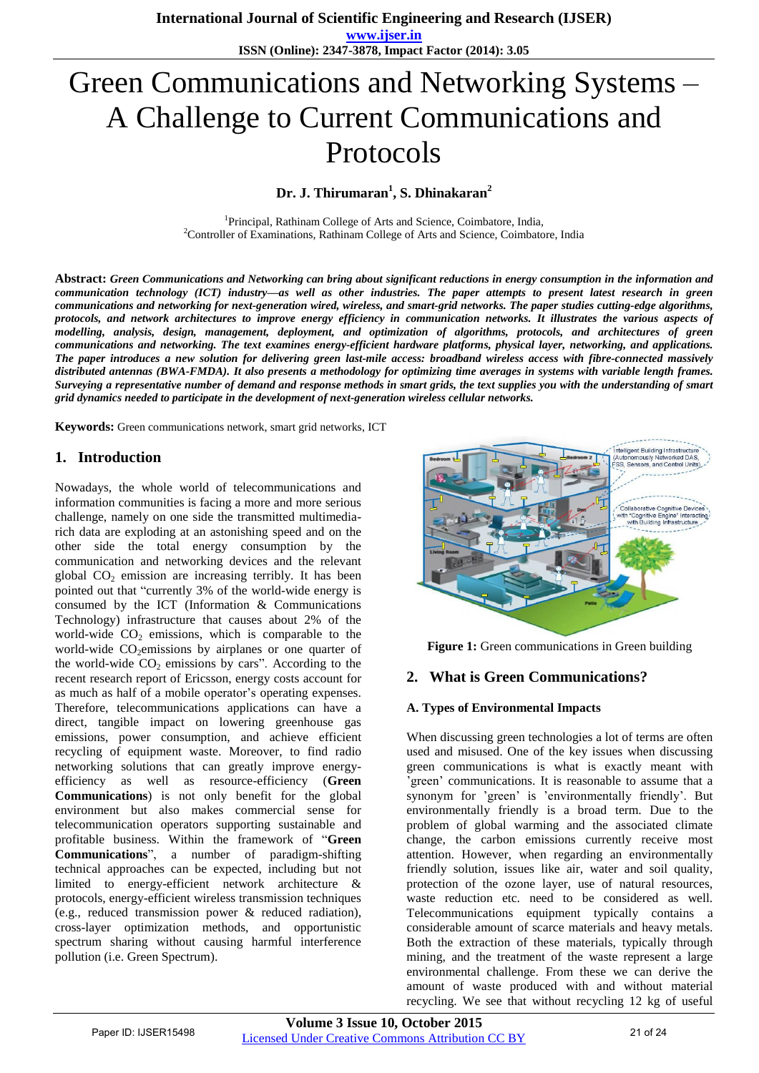**www.ijser.in ISSN (Online): 2347-3878, Impact Factor (2014): 3.05**

# Green Communications and Networking Systems – A Challenge to Current Communications and Protocols

**Dr. J. Thirumaran<sup>1</sup> , S. Dhinakaran<sup>2</sup>**

<sup>1</sup>Principal, Rathinam College of Arts and Science, Coimbatore, India, <sup>2</sup>Controller of Examinations, Rathinam College of Arts and Science, Coimbatore, India

**Abstract:** *Green Communications and Networking can bring about significant reductions in energy consumption in the information and communication technology (ICT) industry—as well as other industries. The paper attempts to present latest research in green communications and networking for next-generation wired, wireless, and smart-grid networks. The paper studies cutting-edge algorithms, protocols, and network architectures to improve energy efficiency in communication networks. It illustrates the various aspects of modelling, analysis, design, management, deployment, and optimization of algorithms, protocols, and architectures of green communications and networking. The text examines energy-efficient hardware platforms, physical layer, networking, and applications. The paper introduces a new solution for delivering green last-mile access: broadband wireless access with fibre-connected massively*  distributed antennas (BWA-FMDA). It also presents a methodology for optimizing time averages in systems with variable length frames. *Surveying a representative number of demand and response methods in smart grids, the text supplies you with the understanding of smart grid dynamics needed to participate in the development of next-generation wireless cellular networks.*

**Keywords:** Green communications network, smart grid networks, ICT

## **1. Introduction**

Nowadays, the whole world of telecommunications and information communities is facing a more and more serious challenge, namely on one side the transmitted multimediarich data are exploding at an astonishing speed and on the other side the total energy consumption by the communication and networking devices and the relevant global  $CO<sub>2</sub>$  emission are increasing terribly. It has been pointed out that "currently 3% of the world-wide energy is consumed by the ICT (Information & Communications Technology) infrastructure that causes about 2% of the world-wide  $CO<sub>2</sub>$  emissions, which is comparable to the world-wide  $CO<sub>2</sub>$ emissions by airplanes or one quarter of the world-wide  $CO<sub>2</sub>$  emissions by cars". According to the recent research report of Ericsson, energy costs account for as much as half of a mobile operator's operating expenses. Therefore, telecommunications applications can have a direct, tangible impact on lowering greenhouse gas emissions, power consumption, and achieve efficient recycling of equipment waste. Moreover, to find radio networking solutions that can greatly improve energyefficiency as well as resource-efficiency (**Green Communications**) is not only benefit for the global environment but also makes commercial sense for telecommunication operators supporting sustainable and profitable business. Within the framework of "Green **Communications**<sup>"</sup>, a number of paradigm-shifting technical approaches can be expected, including but not limited to energy-efficient network architecture & protocols, energy-efficient wireless transmission techniques (e.g., reduced transmission power & reduced radiation), cross-layer optimization methods, and opportunistic spectrum sharing without causing harmful interference pollution (i.e. Green Spectrum).



**Figure 1:** Green communications in Green building

### **2. What is Green Communications?**

#### **A. Types of Environmental Impacts**

When discussing green technologies a lot of terms are often used and misused. One of the key issues when discussing green communications is what is exactly meant with 'green' communications. It is reasonable to assume that a synonym for 'green' is 'environmentally friendly'. But environmentally friendly is a broad term. Due to the problem of global warming and the associated climate change, the carbon emissions currently receive most attention. However, when regarding an environmentally friendly solution, issues like air, water and soil quality, protection of the ozone layer, use of natural resources, waste reduction etc. need to be considered as well. Telecommunications equipment typically contains a considerable amount of scarce materials and heavy metals. Both the extraction of these materials, typically through mining, and the treatment of the waste represent a large environmental challenge. From these we can derive the amount of waste produced with and without material recycling. We see that without recycling 12 kg of useful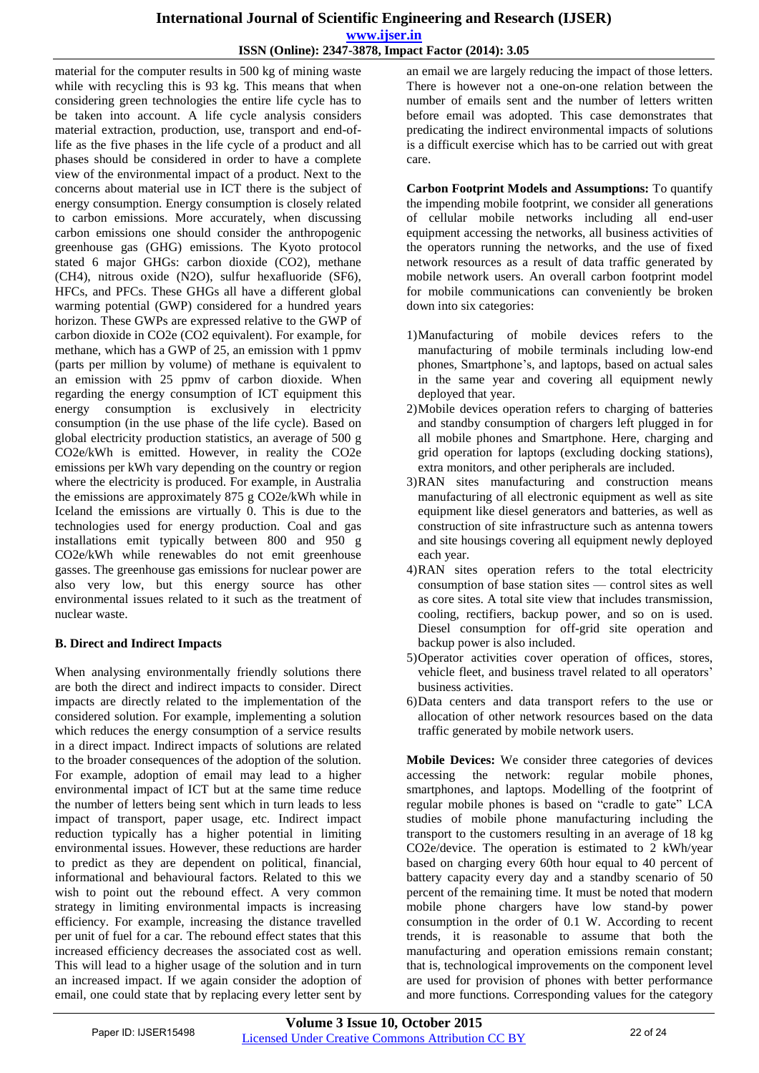## **International Journal of Scientific Engineering and Research (IJSER) www.ijser.in ISSN (Online): 2347-3878, Impact Factor (2014): 3.05**

material for the computer results in 500 kg of mining waste while with recycling this is 93 kg. This means that when considering green technologies the entire life cycle has to be taken into account. A life cycle analysis considers material extraction, production, use, transport and end-oflife as the five phases in the life cycle of a product and all phases should be considered in order to have a complete view of the environmental impact of a product. Next to the concerns about material use in ICT there is the subject of energy consumption. Energy consumption is closely related to carbon emissions. More accurately, when discussing carbon emissions one should consider the anthropogenic greenhouse gas (GHG) emissions. The Kyoto protocol stated 6 major GHGs: carbon dioxide (CO2), methane (CH4), nitrous oxide (N2O), sulfur hexafluoride (SF6), HFCs, and PFCs. These GHGs all have a different global warming potential (GWP) considered for a hundred years horizon. These GWPs are expressed relative to the GWP of carbon dioxide in CO2e (CO2 equivalent). For example, for methane, which has a GWP of 25, an emission with 1 ppmv (parts per million by volume) of methane is equivalent to an emission with 25 ppmv of carbon dioxide. When regarding the energy consumption of ICT equipment this energy consumption is exclusively in electricity consumption (in the use phase of the life cycle). Based on global electricity production statistics, an average of 500 g CO2e/kWh is emitted. However, in reality the CO2e emissions per kWh vary depending on the country or region where the electricity is produced. For example, in Australia the emissions are approximately 875 g CO2e/kWh while in Iceland the emissions are virtually 0. This is due to the technologies used for energy production. Coal and gas installations emit typically between 800 and 950 g CO2e/kWh while renewables do not emit greenhouse gasses. The greenhouse gas emissions for nuclear power are also very low, but this energy source has other environmental issues related to it such as the treatment of nuclear waste.

### **B. Direct and Indirect Impacts**

When analysing environmentally friendly solutions there are both the direct and indirect impacts to consider. Direct impacts are directly related to the implementation of the considered solution. For example, implementing a solution which reduces the energy consumption of a service results in a direct impact. Indirect impacts of solutions are related to the broader consequences of the adoption of the solution. For example, adoption of email may lead to a higher environmental impact of ICT but at the same time reduce the number of letters being sent which in turn leads to less impact of transport, paper usage, etc. Indirect impact reduction typically has a higher potential in limiting environmental issues. However, these reductions are harder to predict as they are dependent on political, financial, informational and behavioural factors. Related to this we wish to point out the rebound effect. A very common strategy in limiting environmental impacts is increasing efficiency. For example, increasing the distance travelled per unit of fuel for a car. The rebound effect states that this increased efficiency decreases the associated cost as well. This will lead to a higher usage of the solution and in turn an increased impact. If we again consider the adoption of email, one could state that by replacing every letter sent by an email we are largely reducing the impact of those letters. There is however not a one-on-one relation between the number of emails sent and the number of letters written before email was adopted. This case demonstrates that predicating the indirect environmental impacts of solutions is a difficult exercise which has to be carried out with great care.

**Carbon Footprint Models and Assumptions:** To quantify the impending mobile footprint, we consider all generations of cellular mobile networks including all end-user equipment accessing the networks, all business activities of the operators running the networks, and the use of fixed network resources as a result of data traffic generated by mobile network users. An overall carbon footprint model for mobile communications can conveniently be broken down into six categories:

- 1)Manufacturing of mobile devices refers to the manufacturing of mobile terminals including low-end phones, Smartphone's, and laptops, based on actual sales in the same year and covering all equipment newly deployed that year.
- 2)Mobile devices operation refers to charging of batteries and standby consumption of chargers left plugged in for all mobile phones and Smartphone. Here, charging and grid operation for laptops (excluding docking stations), extra monitors, and other peripherals are included.
- 3)RAN sites manufacturing and construction means manufacturing of all electronic equipment as well as site equipment like diesel generators and batteries, as well as construction of site infrastructure such as antenna towers and site housings covering all equipment newly deployed each year.
- 4)RAN sites operation refers to the total electricity consumption of base station sites — control sites as well as core sites. A total site view that includes transmission, cooling, rectifiers, backup power, and so on is used. Diesel consumption for off-grid site operation and backup power is also included.
- 5)Operator activities cover operation of offices, stores, vehicle fleet, and business travel related to all operators' business activities.
- 6)Data centers and data transport refers to the use or allocation of other network resources based on the data traffic generated by mobile network users.

**Mobile Devices:** We consider three categories of devices accessing the network: regular mobile phones, smartphones, and laptops. Modelling of the footprint of regular mobile phones is based on "cradle to gate" LCA studies of mobile phone manufacturing including the transport to the customers resulting in an average of 18 kg CO2e/device. The operation is estimated to 2 kWh/year based on charging every 60th hour equal to 40 percent of battery capacity every day and a standby scenario of 50 percent of the remaining time. It must be noted that modern mobile phone chargers have low stand-by power consumption in the order of 0.1 W. According to recent trends, it is reasonable to assume that both the manufacturing and operation emissions remain constant; that is, technological improvements on the component level are used for provision of phones with better performance and more functions. Corresponding values for the category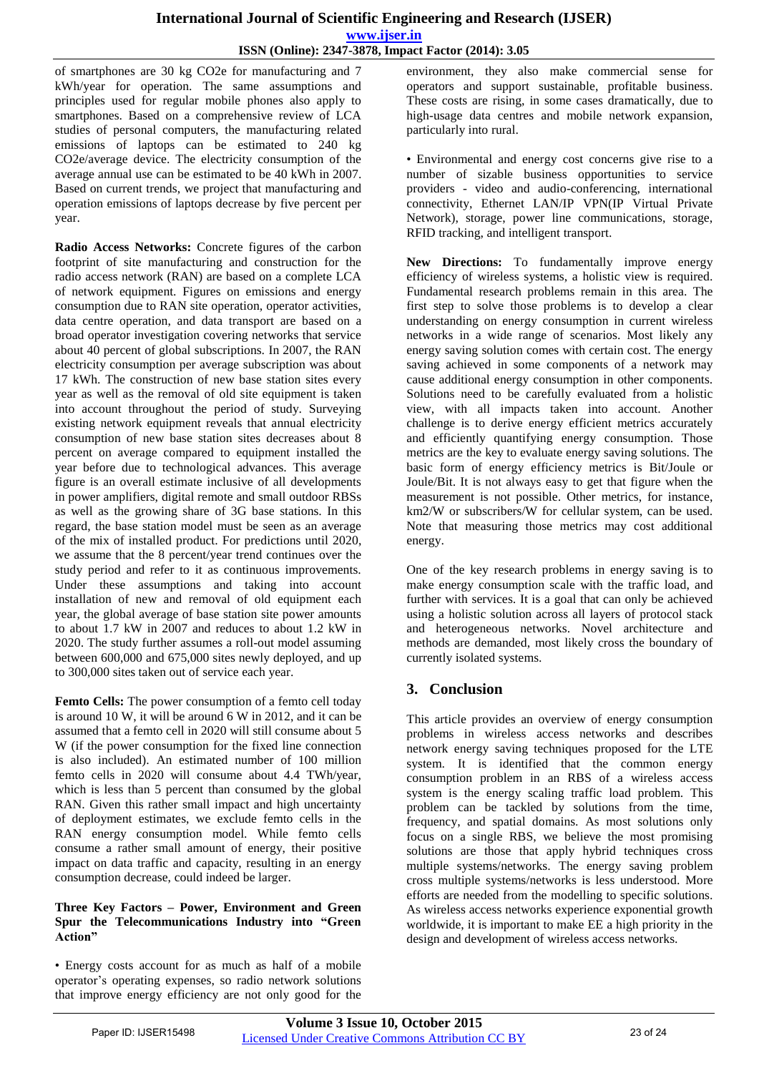of smartphones are 30 kg CO2e for manufacturing and 7 kWh/year for operation. The same assumptions and principles used for regular mobile phones also apply to smartphones. Based on a comprehensive review of LCA studies of personal computers, the manufacturing related emissions of laptops can be estimated to 240 kg CO2e/average device. The electricity consumption of the average annual use can be estimated to be 40 kWh in 2007. Based on current trends, we project that manufacturing and operation emissions of laptops decrease by five percent per year.

**Radio Access Networks:** Concrete figures of the carbon footprint of site manufacturing and construction for the radio access network (RAN) are based on a complete LCA of network equipment. Figures on emissions and energy consumption due to RAN site operation, operator activities, data centre operation, and data transport are based on a broad operator investigation covering networks that service about 40 percent of global subscriptions. In 2007, the RAN electricity consumption per average subscription was about 17 kWh. The construction of new base station sites every year as well as the removal of old site equipment is taken into account throughout the period of study. Surveying existing network equipment reveals that annual electricity consumption of new base station sites decreases about 8 percent on average compared to equipment installed the year before due to technological advances. This average figure is an overall estimate inclusive of all developments in power amplifiers, digital remote and small outdoor RBSs as well as the growing share of 3G base stations. In this regard, the base station model must be seen as an average of the mix of installed product. For predictions until 2020, we assume that the 8 percent/year trend continues over the study period and refer to it as continuous improvements. Under these assumptions and taking into account installation of new and removal of old equipment each year, the global average of base station site power amounts to about 1.7 kW in 2007 and reduces to about 1.2 kW in 2020. The study further assumes a roll-out model assuming between 600,000 and 675,000 sites newly deployed, and up to 300,000 sites taken out of service each year.

**Femto Cells:** The power consumption of a femto cell today is around 10 W, it will be around 6 W in 2012, and it can be assumed that a femto cell in 2020 will still consume about 5 W (if the power consumption for the fixed line connection is also included). An estimated number of 100 million femto cells in 2020 will consume about 4.4 TWh/year, which is less than 5 percent than consumed by the global RAN. Given this rather small impact and high uncertainty of deployment estimates, we exclude femto cells in the RAN energy consumption model. While femto cells consume a rather small amount of energy, their positive impact on data traffic and capacity, resulting in an energy consumption decrease, could indeed be larger.

#### **Three Key Factors – Power, Environment and Green Spur the Telecommunications Industry into "Green Action"**

• Energy costs account for as much as half of a mobile operator's operating expenses, so radio network solutions that improve energy efficiency are not only good for the environment, they also make commercial sense for operators and support sustainable, profitable business. These costs are rising, in some cases dramatically, due to high-usage data centres and mobile network expansion, particularly into rural.

• Environmental and energy cost concerns give rise to a number of sizable business opportunities to service providers - video and audio-conferencing, international connectivity, Ethernet LAN/IP VPN(IP Virtual Private Network), storage, power line communications, storage, RFID tracking, and intelligent transport.

New Directions: To fundamentally improve energy efficiency of wireless systems, a holistic view is required. Fundamental research problems remain in this area. The first step to solve those problems is to develop a clear understanding on energy consumption in current wireless networks in a wide range of scenarios. Most likely any energy saving solution comes with certain cost. The energy saving achieved in some components of a network may cause additional energy consumption in other components. Solutions need to be carefully evaluated from a holistic view, with all impacts taken into account. Another challenge is to derive energy efficient metrics accurately and efficiently quantifying energy consumption. Those metrics are the key to evaluate energy saving solutions. The basic form of energy efficiency metrics is Bit/Joule or Joule/Bit. It is not always easy to get that figure when the measurement is not possible. Other metrics, for instance, km2/W or subscribers/W for cellular system, can be used. Note that measuring those metrics may cost additional energy.

One of the key research problems in energy saving is to make energy consumption scale with the traffic load, and further with services. It is a goal that can only be achieved using a holistic solution across all layers of protocol stack and heterogeneous networks. Novel architecture and methods are demanded, most likely cross the boundary of currently isolated systems.

## **3. Conclusion**

This article provides an overview of energy consumption problems in wireless access networks and describes network energy saving techniques proposed for the LTE system. It is identified that the common energy consumption problem in an RBS of a wireless access system is the energy scaling traffic load problem. This problem can be tackled by solutions from the time, frequency, and spatial domains. As most solutions only focus on a single RBS, we believe the most promising solutions are those that apply hybrid techniques cross multiple systems/networks. The energy saving problem cross multiple systems/networks is less understood. More efforts are needed from the modelling to specific solutions. As wireless access networks experience exponential growth worldwide, it is important to make EE a high priority in the design and development of wireless access networks.